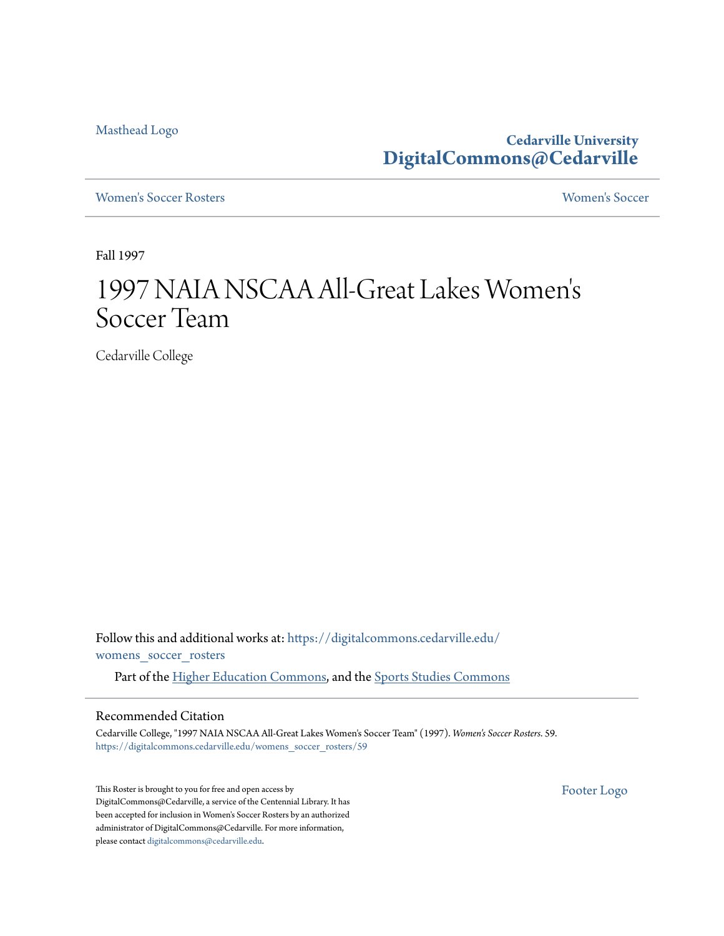[Masthead Logo](http://www.cedarville.edu/?utm_source=digitalcommons.cedarville.edu%2Fwomens_soccer_rosters%2F59&utm_medium=PDF&utm_campaign=PDFCoverPages)

**Cedarville University [DigitalCommons@Cedarville](https://digitalcommons.cedarville.edu?utm_source=digitalcommons.cedarville.edu%2Fwomens_soccer_rosters%2F59&utm_medium=PDF&utm_campaign=PDFCoverPages)**

[Women's Soccer Rosters](https://digitalcommons.cedarville.edu/womens_soccer_rosters?utm_source=digitalcommons.cedarville.edu%2Fwomens_soccer_rosters%2F59&utm_medium=PDF&utm_campaign=PDFCoverPages) [Women's Soccer](https://digitalcommons.cedarville.edu/womens_soccer?utm_source=digitalcommons.cedarville.edu%2Fwomens_soccer_rosters%2F59&utm_medium=PDF&utm_campaign=PDFCoverPages)

Fall 1997

## 1997 NAIA NSCAA All-Great Lakes Women ' $\mathsf{s}'$ Soccer Team

Cedarville College

Follow this and additional works at: [https://digitalcommons.cedarville.edu/](https://digitalcommons.cedarville.edu/womens_soccer_rosters?utm_source=digitalcommons.cedarville.edu%2Fwomens_soccer_rosters%2F59&utm_medium=PDF&utm_campaign=PDFCoverPages) [womens\\_soccer\\_rosters](https://digitalcommons.cedarville.edu/womens_soccer_rosters?utm_source=digitalcommons.cedarville.edu%2Fwomens_soccer_rosters%2F59&utm_medium=PDF&utm_campaign=PDFCoverPages)

Part of the [Higher Education Commons](http://network.bepress.com/hgg/discipline/1245?utm_source=digitalcommons.cedarville.edu%2Fwomens_soccer_rosters%2F59&utm_medium=PDF&utm_campaign=PDFCoverPages), and the [Sports Studies Commons](http://network.bepress.com/hgg/discipline/1198?utm_source=digitalcommons.cedarville.edu%2Fwomens_soccer_rosters%2F59&utm_medium=PDF&utm_campaign=PDFCoverPages)

## Recommended Citation

Cedarville College, "1997 NAIA NSCAA All-Great Lakes Women's Soccer Team" (1997). *Women's Soccer Rosters*. 59. [https://digitalcommons.cedarville.edu/womens\\_soccer\\_rosters/59](https://digitalcommons.cedarville.edu/womens_soccer_rosters/59?utm_source=digitalcommons.cedarville.edu%2Fwomens_soccer_rosters%2F59&utm_medium=PDF&utm_campaign=PDFCoverPages)

This Roster is brought to you for free and open access by DigitalCommons@Cedarville, a service of the Centennial Library. It has been accepted for inclusion in Women's Soccer Rosters by an authorized administrator of DigitalCommons@Cedarville. For more information, please contact [digitalcommons@cedarville.edu.](mailto:digitalcommons@cedarville.edu)

[Footer Logo](http://www.cedarville.edu/Academics/Library.aspx?utm_source=digitalcommons.cedarville.edu%2Fwomens_soccer_rosters%2F59&utm_medium=PDF&utm_campaign=PDFCoverPages)